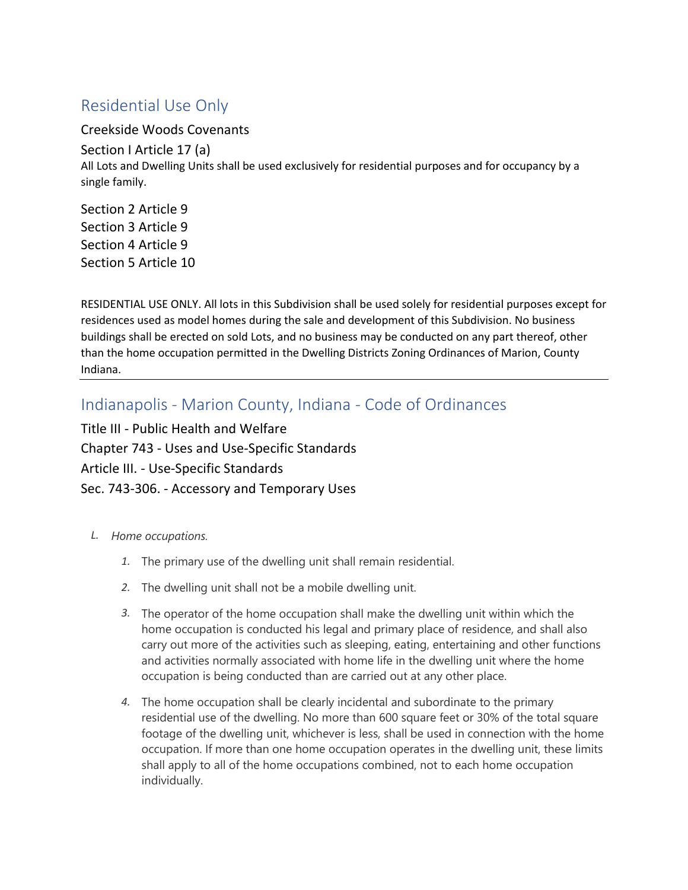## Residential Use Only

Creekside Woods Covenants

Section I Article 17 (a) All Lots and Dwelling Units shall be used exclusively for residential purposes and for occupancy by a single family.

Section 2 Article 9 Section 3 Article 9 Section 4 Article 9 Section 5 Article 10

RESIDENTIAL USE ONLY. All lots in this Subdivision shall be used solely for residential purposes except for residences used as model homes during the sale and development of this Subdivision. No business buildings shall be erected on sold Lots, and no business may be conducted on any part thereof, other than the home occupation permitted in the Dwelling Districts Zoning Ordinances of Marion, County Indiana.

Indianapolis - Marion County, Indiana - Code of Ordinances

Title III - Public Health and Welfare Chapter 743 - Uses and Use-Specific Standards Article III. - Use-Specific Standards Sec. 743-306. - Accessory and Temporary Uses

- *L. Home occupations.*
	- *1.* The primary use of the dwelling unit shall remain residential.
	- *2.* The dwelling unit shall not be a mobile dwelling unit.
	- *3.* The operator of the home occupation shall make the dwelling unit within which the home occupation is conducted his legal and primary place of residence, and shall also carry out more of the activities such as sleeping, eating, entertaining and other functions and activities normally associated with home life in the dwelling unit where the home occupation is being conducted than are carried out at any other place.
	- *4.* The home occupation shall be clearly incidental and subordinate to the primary residential use of the dwelling. No more than 600 square feet or 30% of the total square footage of the dwelling unit, whichever is less, shall be used in connection with the home occupation. If more than one home occupation operates in the dwelling unit, these limits shall apply to all of the home occupations combined, not to each home occupation individually.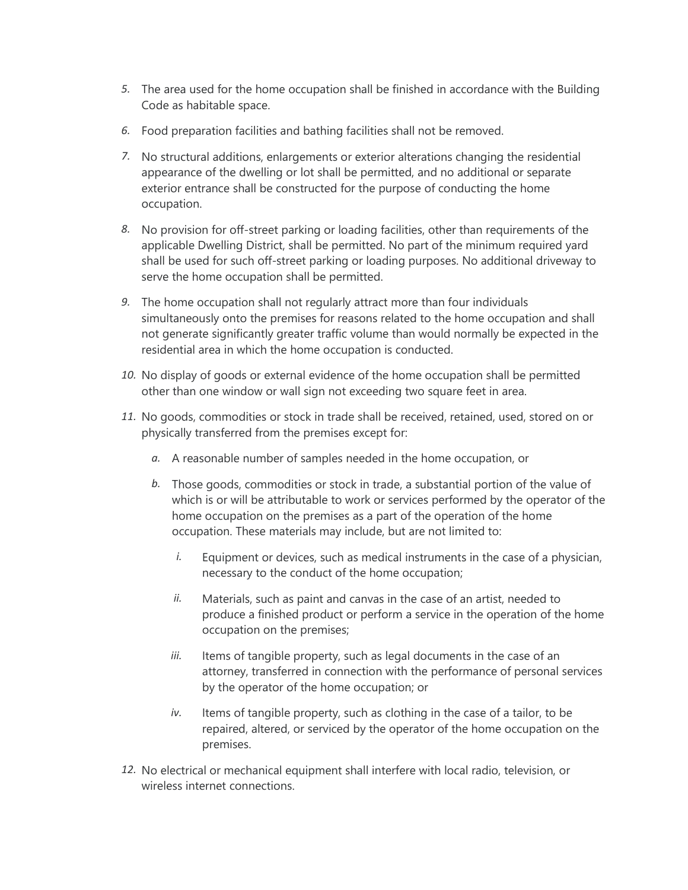- *5.* The area used for the home occupation shall be finished in accordance with the Building Code as habitable space.
- *6.* Food preparation facilities and bathing facilities shall not be removed.
- *7.* No structural additions, enlargements or exterior alterations changing the residential appearance of the dwelling or lot shall be permitted, and no additional or separate exterior entrance shall be constructed for the purpose of conducting the home occupation.
- *8.* No provision for off-street parking or loading facilities, other than requirements of the applicable Dwelling District, shall be permitted. No part of the minimum required yard shall be used for such off-street parking or loading purposes. No additional driveway to serve the home occupation shall be permitted.
- *9.* The home occupation shall not regularly attract more than four individuals simultaneously onto the premises for reasons related to the home occupation and shall not generate significantly greater traffic volume than would normally be expected in the residential area in which the home occupation is conducted.
- *10.* No display of goods or external evidence of the home occupation shall be permitted other than one window or wall sign not exceeding two square feet in area.
- *11.* No goods, commodities or stock in trade shall be received, retained, used, stored on or physically transferred from the premises except for:
	- *a.* A reasonable number of samples needed in the home occupation, or
	- *b.* Those goods, commodities or stock in trade, a substantial portion of the value of which is or will be attributable to work or services performed by the operator of the home occupation on the premises as a part of the operation of the home occupation. These materials may include, but are not limited to:
		- *i.* Equipment or devices, such as medical instruments in the case of a physician, necessary to the conduct of the home occupation;
		- *ii.* Materials, such as paint and canvas in the case of an artist, needed to produce a finished product or perform a service in the operation of the home occupation on the premises;
		- *iii.* Items of tangible property, such as legal documents in the case of an attorney, transferred in connection with the performance of personal services by the operator of the home occupation; or
		- *iv.* Items of tangible property, such as clothing in the case of a tailor, to be repaired, altered, or serviced by the operator of the home occupation on the premises.
- *12.* No electrical or mechanical equipment shall interfere with local radio, television, or wireless internet connections.